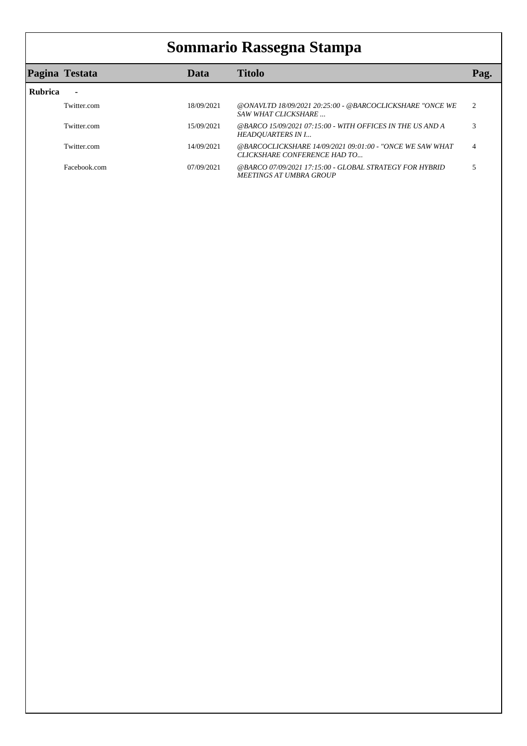## **Sommario Rassegna Stampa**

|                | Pagina Testata | Data       | <b>Titolo</b>                                                                             | Pag.                        |
|----------------|----------------|------------|-------------------------------------------------------------------------------------------|-----------------------------|
| <b>Rubrica</b> |                |            |                                                                                           |                             |
|                | Twitter.com    | 18/09/2021 | @ONAVLTD 18/09/2021 20:25:00 - @BARCOCLICKSHARE "ONCE WE<br>SAW WHAT CLICKSHARE           | $\mathcal{D}_{\mathcal{L}}$ |
|                | Twitter.com    | 15/09/2021 | @BARCO 15/09/2021 07:15:00 - WITH OFFICES IN THE US AND A<br>HEADOUARTERS IN I            |                             |
|                | Twitter.com    | 14/09/2021 | @BARCOCLICKSHARE 14/09/2021 09:01:00 - "ONCE WE SAW WHAT<br>CLICKSHARE CONFERENCE HAD TO  | 4                           |
|                | Facebook.com   | 07/09/2021 | @BARCO 07/09/2021 17:15:00 - GLOBAL STRATEGY FOR HYBRID<br><b>MEETINGS AT UMBRA GROUP</b> |                             |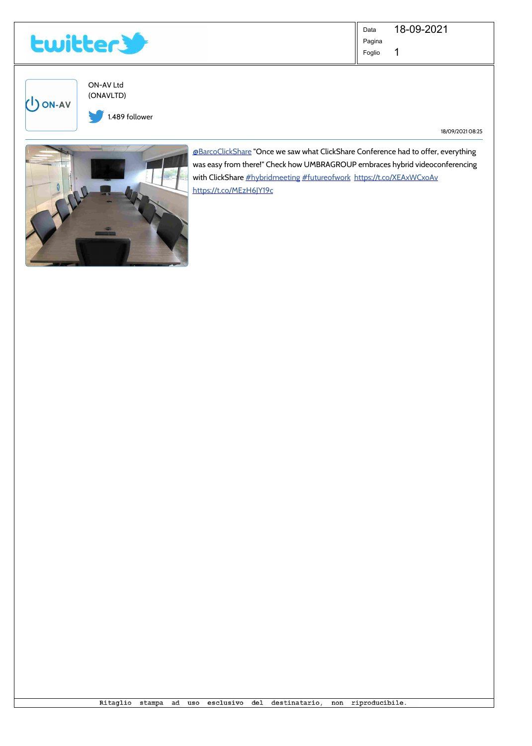<span id="page-1-0"></span>

1 Data Pagina Foglio 18-09-2021

ON-AV Ltd (ONAVLTD)

U ON-AV 1.489 follower

18/09/2021 08:25



@BarcoClickShare "Once we saw what ClickShare Conference had to offer, everything was easy from there!" Check how UMBRAGROUP embraces hybrid videoconferencing with ClickShare #hybridmeeting #futureofwork https://t.co/XEAxWCxoAv https://t.co/MEzH6JY19c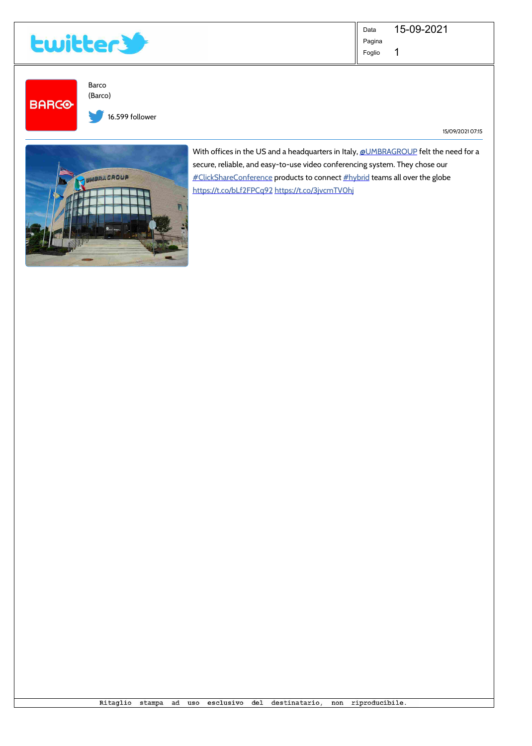<span id="page-2-0"></span>

1 Data Pagina Foglio 15-09-2021

**BARCO** 

Barco (Barco)

16.599 follower

15/09/2021 07:15



With offices in the US and a headquarters in Italy, @UMBRAGROUP felt the need for a secure, reliable, and easy-to-use video conferencing system. They chose our #ClickShareConference products to connect #hybrid teams all over the globe https://t.co/bLf2FPCq92 https://t.co/3jvcmTV0hj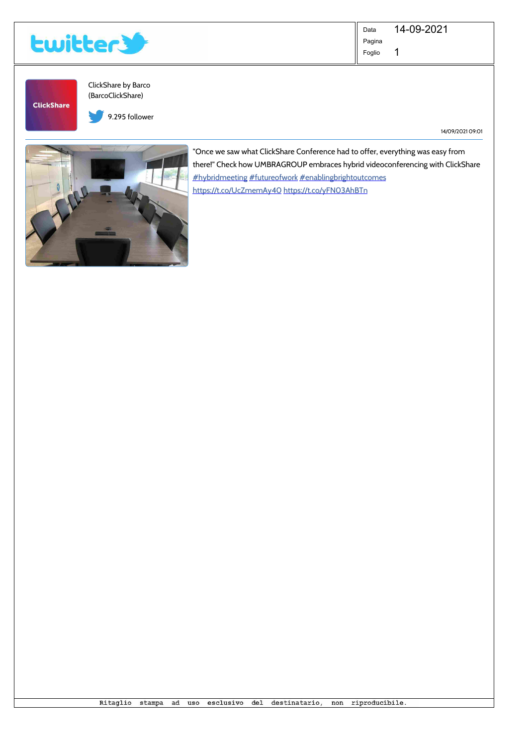<span id="page-3-0"></span>

1 Data Pagina Foglio 14-09-2021

**ClickShare** 

ClickShare by Barco (BarcoClickShare)

9.295 follower

14/09/2021 09:01



"Once we saw what ClickShare Conference had to offer, everything was easy from there!" Check how UMBRAGROUP embraces hybrid videoconferencing with ClickShare #hybridmeeting #futureofwork #enablingbrightoutcomes https://t.co/UcZmemAy40 https://t.co/yFN03AhBTn